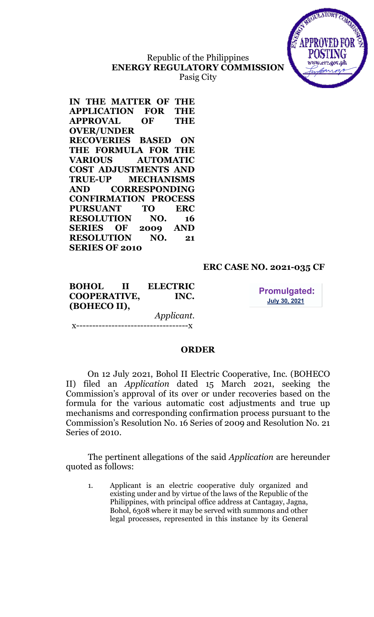# Republic of the Philippines ENERGY REGULATORY COMMISSION Pasig City



IN THE MATTER OF THE APPLICATION FOR THE APPROVAL OF THE OVER/UNDER RECOVERIES BASED ON THE FORMULA FOR THE VARIOUS AUTOMATIC COST ADJUSTMENTS AND TRUE-UP MECHANISMS AND CORRESPONDING CONFIRMATION PROCESS PURSUANT TO ERC RESOLUTION NO. 16 SERIES OF 2009 AND RESOLUTION NO. 21 SERIES OF 2010

# ERC CASE NO. 2021-035 CF

BOHOL II ELECTRIC COOPERATIVE, INC. (BOHECO II), Applicant.

 $-----x$ 

**Promulgated: July 30, 2021** 

## **ORDER**

On 12 July 2021, Bohol II Electric Cooperative, Inc. (BOHECO II) filed an Application dated 15 March 2021, seeking the Commission's approval of its over or under recoveries based on the formula for the various automatic cost adjustments and true up mechanisms and corresponding confirmation process pursuant to the Commission's Resolution No. 16 Series of 2009 and Resolution No. 21 Series of 2010.

The pertinent allegations of the said *Application* are hereunder quoted as follows:

1. Applicant is an electric cooperative duly organized and existing under and by virtue of the laws of the Republic of the Philippines, with principal office address at Cantagay, Jagna, Bohol, 6308 where it may be served with summons and other legal processes, represented in this instance by its General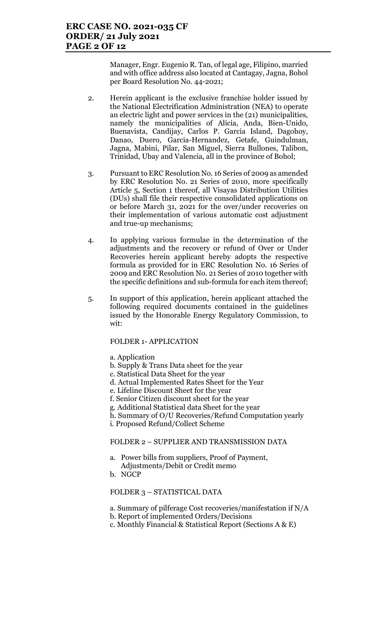Manager, Engr. Eugenio R. Tan, of legal age, Filipino, married and with office address also located at Cantagay, Jagna, Bohol per Board Resolution No. 44-2021;

- 2. Herein applicant is the exclusive franchise holder issued by the National Electrification Administration (NEA) to operate an electric light and power services in the (21) municipalities, namely the municipalities of Alicia, Anda, Bien-Unido, Buenavista, Candijay, Carlos P. Garcia Island, Dagohoy, Danao, Duero, Garcia-Hernandez, Getafe, Guindulman, Jagna, Mabini, Pilar, San Miguel, Sierra Bullones, Talibon, Trinidad, Ubay and Valencia, all in the province of Bohol;
- 3. Pursuant to ERC Resolution No. 16 Series of 2009 as amended by ERC Resolution No. 21 Series of 2010, more specifically Article 5, Section 1 thereof, all Visayas Distribution Utilities (DUs) shall file their respective consolidated applications on or before March 31, 2021 for the over/under recoveries on their implementation of various automatic cost adjustment and true-up mechanisms;
- 4. In applying various formulae in the determination of the adjustments and the recovery or refund of Over or Under Recoveries herein applicant hereby adopts the respective formula as provided for in ERC Resolution No. 16 Series of 2009 and ERC Resolution No. 21 Series of 2010 together with the specific definitions and sub-formula for each item thereof;
- 5. In support of this application, herein applicant attached the following required documents contained in the guidelines issued by the Honorable Energy Regulatory Commission, to wit:

### FOLDER 1- APPLICATION

a. Application

- b. Supply & Trans Data sheet for the year
- c. Statistical Data Sheet for the year
- d. Actual Implemented Rates Sheet for the Year
- e. Lifeline Discount Sheet for the year
- f. Senior Citizen discount sheet for the year
- g. Additional Statistical data Sheet for the year
- h. Summary of O/U Recoveries/Refund Computation yearly
- i. Proposed Refund/Collect Scheme

### FOLDER 2 – SUPPLIER AND TRANSMISSION DATA

- a. Power bills from suppliers, Proof of Payment, Adjustments/Debit or Credit memo
- b. NGCP

FOLDER 3 – STATISTICAL DATA

a. Summary of pilferage Cost recoveries/manifestation if N/A

- b. Report of implemented Orders/Decisions
- c. Monthly Financial & Statistical Report (Sections A & E)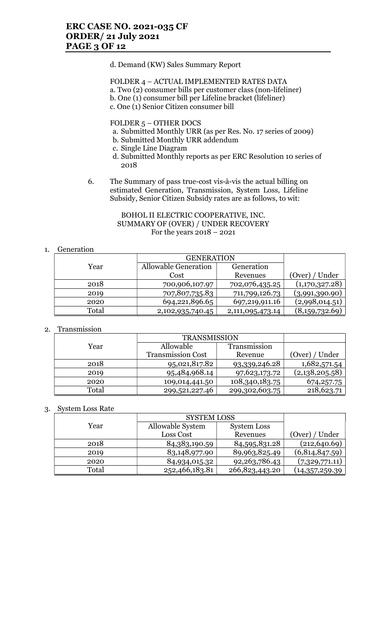### d. Demand (KW) Sales Summary Report

### FOLDER 4 – ACTUAL IMPLEMENTED RATES DATA a. Two (2) consumer bills per customer class (non-lifeliner) b. One (1) consumer bill per Lifeline bracket (lifeliner) c. One (1) Senior Citizen consumer bill

FOLDER 5 – OTHER DOCS

- a. Submitted Monthly URR (as per Res. No. 17 series of 2009)
- b. Submitted Monthly URR addendum
- c. Single Line Diagram
- d. Submitted Monthly reports as per ERC Resolution 10 series of 2018
- 6. The Summary of pass true-cost vis-à-vis the actual billing on estimated Generation, Transmission, System Loss, Lifeline Subsidy, Senior Citizen Subsidy rates are as follows, to wit:

### BOHOL II ELECTRIC COOPERATIVE, INC. SUMMARY OF (OVER) / UNDER RECOVERY For the years 2018 – 2021

## 1. Generation

|       | <b>GENERATION</b>    |                  |                |
|-------|----------------------|------------------|----------------|
| Year  | Allowable Generation | Generation       |                |
|       | Cost                 | Revenues         | (Over) / Under |
| 2018  | 700,906,107.97       | 702,076,435.25   | (1,170,327.28) |
| 2019  | 707,807,735.83       | 711,799,126.73   | (3,991,390.90) |
| 2020  | 694,221,896.65       | 697,219,911.16   | (2,998,014.51) |
| Total | 2,102,935,740.45     | 2,111,095,473.14 | (8,159,732.69) |

## 2. Transmission

|       | <b>TRANSMISSION</b>      |                |                |
|-------|--------------------------|----------------|----------------|
| Year  | Allowable                | Transmission   |                |
|       | <b>Transmission Cost</b> | Revenue        | (Over) / Under |
| 2018  | 95,021,817.82            | 93,339,246.28  | 1,682,571.54   |
| 2019  | 95,484,968.14            | 97,623,173.72  | (2,138,205.58) |
| 2020  | 109,014,441.50           | 108,340,183.75 | 674, 257. 75   |
| Total | 299,521,227.46           | 299,302,603.75 | 218,623.71     |

## 3. System Loss Rate

|       | <b>SYSTEM LOSS</b> |                    |                 |
|-------|--------------------|--------------------|-----------------|
| Year  | Allowable System   | <b>System Loss</b> |                 |
|       | Loss Cost          | Revenues           | (Over) / Under  |
| 2018  | 84, 383, 190. 59   | 84,595,831.28      | (212, 640.69)   |
| 2019  | 83,148,977.90      | 89,963,825.49      | (6,814,847.59)  |
| 2020  | 84,934,015.32      | 92, 263, 786. 43   | (7,329,771.11)  |
| Total | 252,466,183.81     | 266,823,443.20     | (14,357,259.39) |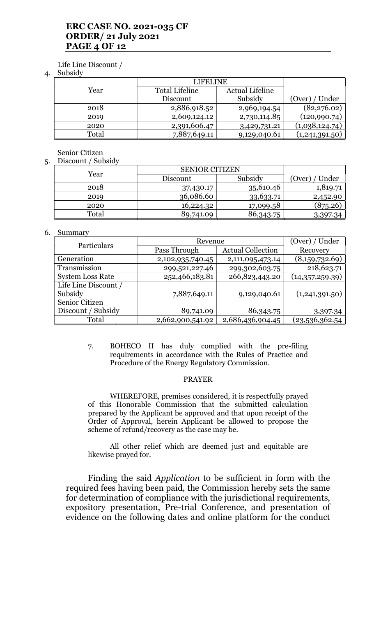## ERC CASE NO. 2021-035 CF ORDER/ 21 July 2021 PAGE 4 OF 12

### Life Line Discount /

#### 4. Subsidy

|       | LIFELINE       |                        |                |
|-------|----------------|------------------------|----------------|
| Year  | Total Lifeline | <b>Actual Lifeline</b> |                |
|       | Discount       | Subsidy                | (Over) / Under |
| 2018  | 2,886,918.52   | 2,969,194.54           | (82, 276.02)   |
| 2019  | 2,609,124.12   | 2,730,114.85           | (120,990.74)   |
| 2020  | 2,391,606.47   | 3,429,731.21           | (1,038,124.74) |
| Total | 7,887,649.11   | 9,129,040.61           | (1,241,391.50) |

### Senior Citizen

### 5. Discount / Subsidy

| . | ---------<br>$v_{\text{w}}$ |                       |           |                |  |
|---|-----------------------------|-----------------------|-----------|----------------|--|
|   | Year                        | <b>SENIOR CITIZEN</b> |           |                |  |
|   |                             | Discount              | Subsidy   | (Over) / Under |  |
|   | 2018                        | 37,430.17             | 35,610.46 | 1,819.71       |  |
|   | 2019                        | 36,086.60             | 33,633.71 | 2,452.90       |  |
|   | 2020                        | 16,224.32             | 17,099.58 | (875.26)       |  |
|   | Total                       | 89,741.09             | 86,343.75 | 3,397.34       |  |

### 6. Summary

| Particulars             | Revenue          |                          | (Over) / Under  |
|-------------------------|------------------|--------------------------|-----------------|
|                         | Pass Through     | <b>Actual Collection</b> | Recovery        |
| Generation              | 2,102,935,740.45 | 2,111,095,473.14         | (8,159,732.69)  |
| Transmission            | 299,521,227.46   | 299,302,603.75           | 218,623.71      |
| <b>System Loss Rate</b> | 252,466,183.81   | 266,823,443.20           | (14,357,259.39) |
| Life Line Discount /    |                  |                          |                 |
| Subsidy                 | 7,887,649.11     | 9,129,040.61             | (1,241,391.50)  |
| Senior Citizen          |                  |                          |                 |
| Discount / Subsidy      | 89,741.09        | 86,343.75                | 3,397.34        |
| Total                   | 2,662,900,541.92 | 2,686,436,904.45         | (23,536,362.54  |

7. BOHECO II has duly complied with the pre-filing requirements in accordance with the Rules of Practice and Procedure of the Energy Regulatory Commission.

### PRAYER

WHEREFORE, premises considered, it is respectfully prayed of this Honorable Commission that the submitted calculation prepared by the Applicant be approved and that upon receipt of the Order of Approval, herein Applicant be allowed to propose the scheme of refund/recovery as the case may be.

All other relief which are deemed just and equitable are likewise prayed for.

Finding the said Application to be sufficient in form with the required fees having been paid, the Commission hereby sets the same for determination of compliance with the jurisdictional requirements, expository presentation, Pre-trial Conference, and presentation of evidence on the following dates and online platform for the conduct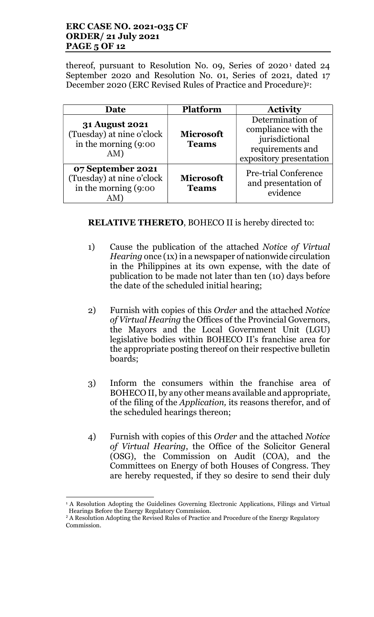## ERC CASE NO. 2021-035 CF ORDER/ 21 July 2021 PAGE 5 OF 12

thereof, pursuant to Resolution No. 09, Series 0f 2020<sup>1</sup> dated 24 September 2020 and Resolution No. 01, Series of 2021, dated 17 December 2020 (ERC Revised Rules of Practice and Procedure)<sup>2</sup>:

| <b>Date</b>                                                                          | <b>Platform</b>                  | <b>Activity</b>                                                                                          |
|--------------------------------------------------------------------------------------|----------------------------------|----------------------------------------------------------------------------------------------------------|
| <b>31 August 2021</b><br>(Tuesday) at nine o'clock<br>in the morning $(9:00)$<br>AM) | <b>Microsoft</b><br><b>Teams</b> | Determination of<br>compliance with the<br>jurisdictional<br>requirements and<br>expository presentation |
| 07 September 2021<br>(Tuesday) at nine o'clock<br>in the morning $(9:00)$            | <b>Microsoft</b><br><b>Teams</b> | <b>Pre-trial Conference</b><br>and presentation of<br>evidence                                           |

# RELATIVE THERETO, BOHECO II is hereby directed to:

- 1) Cause the publication of the attached Notice of Virtual Hearing once (1x) in a newspaper of nationwide circulation in the Philippines at its own expense, with the date of publication to be made not later than ten (10) days before the date of the scheduled initial hearing;
- 2) Furnish with copies of this Order and the attached Notice of Virtual Hearing the Offices of the Provincial Governors, the Mayors and the Local Government Unit (LGU) legislative bodies within BOHECO II's franchise area for the appropriate posting thereof on their respective bulletin boards;
- 3) Inform the consumers within the franchise area of BOHECO II, by any other means available and appropriate, of the filing of the Application, its reasons therefor, and of the scheduled hearings thereon;
- 4) Furnish with copies of this Order and the attached Notice of Virtual Hearing, the Office of the Solicitor General (OSG), the Commission on Audit (COA), and the Committees on Energy of both Houses of Congress. They are hereby requested, if they so desire to send their duly

 <sup>1</sup> A Resolution Adopting the Guidelines Governing Electronic Applications, Filings and Virtual Hearings Before the Energy Regulatory Commission.

 $2A$  Resolution Adopting the Revised Rules of Practice and Procedure of the Energy Regulatory Commission.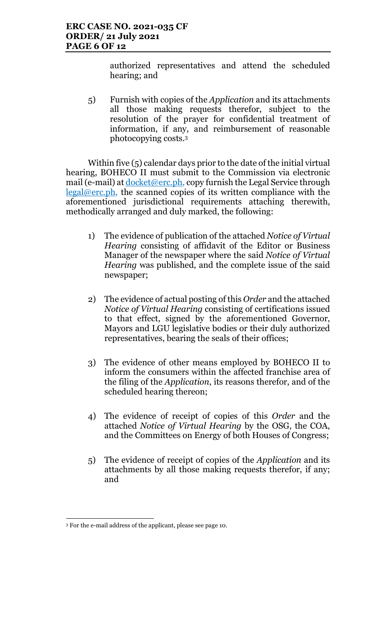authorized representatives and attend the scheduled hearing; and

5) Furnish with copies of the Application and its attachments all those making requests therefor, subject to the resolution of the prayer for confidential treatment of information, if any, and reimbursement of reasonable photocopying costs.<sup>3</sup>

Within five (5) calendar days prior to the date of the initial virtual hearing, BOHECO II must submit to the Commission via electronic mail (e-mail) at <u>docket@erc.ph</u>, copy furnish the Legal Service through legal@erc.ph, the scanned copies of its written compliance with the aforementioned jurisdictional requirements attaching therewith, methodically arranged and duly marked, the following:

- 1) The evidence of publication of the attached Notice of Virtual Hearing consisting of affidavit of the Editor or Business Manager of the newspaper where the said Notice of Virtual Hearing was published, and the complete issue of the said newspaper;
- 2) The evidence of actual posting of this Order and the attached Notice of Virtual Hearing consisting of certifications issued to that effect, signed by the aforementioned Governor, Mayors and LGU legislative bodies or their duly authorized representatives, bearing the seals of their offices;
- 3) The evidence of other means employed by BOHECO II to inform the consumers within the affected franchise area of the filing of the Application, its reasons therefor, and of the scheduled hearing thereon;
- 4) The evidence of receipt of copies of this Order and the attached Notice of Virtual Hearing by the OSG, the COA, and the Committees on Energy of both Houses of Congress;
- 5) The evidence of receipt of copies of the Application and its attachments by all those making requests therefor, if any; and

 3 For the e-mail address of the applicant, please see page 10.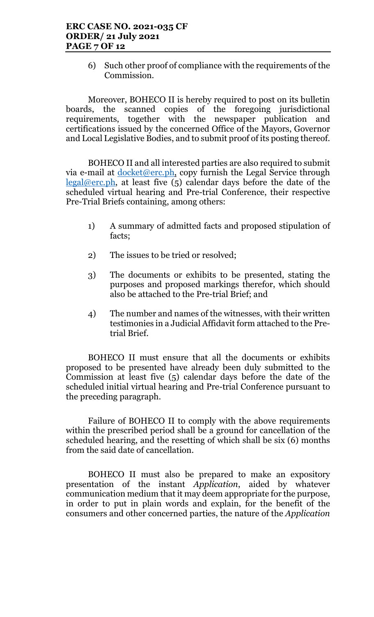6) Such other proof of compliance with the requirements of the Commission.

Moreover, BOHECO II is hereby required to post on its bulletin boards, the scanned copies of the foregoing jurisdictional requirements, together with the newspaper publication and certifications issued by the concerned Office of the Mayors, Governor and Local Legislative Bodies, and to submit proof of its posting thereof.

BOHECO II and all interested parties are also required to submit via e-mail at  $\frac{\text{docket@erc.ph.}}{\text{copy furnish the Legal Service through}}$ legal@erc.ph, at least five  $(5)$  calendar days before the date of the scheduled virtual hearing and Pre-trial Conference, their respective Pre-Trial Briefs containing, among others:

- 1) A summary of admitted facts and proposed stipulation of facts;
- 2) The issues to be tried or resolved;
- 3) The documents or exhibits to be presented, stating the purposes and proposed markings therefor, which should also be attached to the Pre-trial Brief; and
- 4) The number and names of the witnesses, with their written testimonies in a Judicial Affidavit form attached to the Pretrial Brief.

BOHECO II must ensure that all the documents or exhibits proposed to be presented have already been duly submitted to the Commission at least five (5) calendar days before the date of the scheduled initial virtual hearing and Pre-trial Conference pursuant to the preceding paragraph.

Failure of BOHECO II to comply with the above requirements within the prescribed period shall be a ground for cancellation of the scheduled hearing, and the resetting of which shall be six (6) months from the said date of cancellation.

BOHECO II must also be prepared to make an expository presentation of the instant Application, aided by whatever communication medium that it may deem appropriate for the purpose, in order to put in plain words and explain, for the benefit of the consumers and other concerned parties, the nature of the Application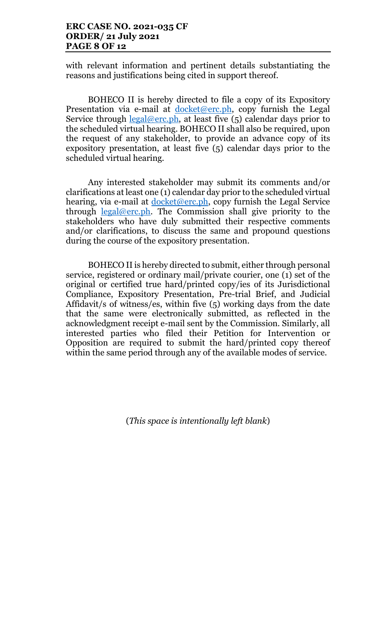## ERC CASE NO. 2021-035 CF ORDER/ 21 July 2021 PAGE 8 OF 12

with relevant information and pertinent details substantiating the reasons and justifications being cited in support thereof.

BOHECO II is hereby directed to file a copy of its Expository Presentation via e-mail at  $d$ ocket@erc.ph, copy furnish the Legal Service through  $\text{legal@erc.ph.}$  at least five (5) calendar days prior to the scheduled virtual hearing. BOHECO II shall also be required, upon the request of any stakeholder, to provide an advance copy of its expository presentation, at least five (5) calendar days prior to the scheduled virtual hearing.

Any interested stakeholder may submit its comments and/or clarifications at least one (1) calendar day prior to the scheduled virtual hearing, via e-mail at <u>docket@erc.ph</u>, copy furnish the Legal Service through legal@erc.ph. The Commission shall give priority to the stakeholders who have duly submitted their respective comments and/or clarifications, to discuss the same and propound questions during the course of the expository presentation.

BOHECO II is hereby directed to submit, either through personal service, registered or ordinary mail/private courier, one (1) set of the original or certified true hard/printed copy/ies of its Jurisdictional Compliance, Expository Presentation, Pre-trial Brief, and Judicial Affidavit/s of witness/es, within five (5) working days from the date that the same were electronically submitted, as reflected in the acknowledgment receipt e-mail sent by the Commission. Similarly, all interested parties who filed their Petition for Intervention or Opposition are required to submit the hard/printed copy thereof within the same period through any of the available modes of service.

(This space is intentionally left blank)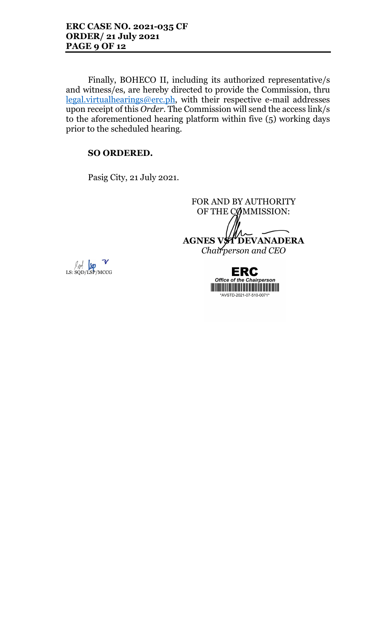Finally, BOHECO II, including its authorized representative/s and witness/es, are hereby directed to provide the Commission, thru legal.virtualhearings@erc.ph, with their respective e-mail addresses upon receipt of this Order. The Commission will send the access link/s to the aforementioned hearing platform within five (5) working days prior to the scheduled hearing.

# SO ORDERED.

Pasig City, 21 July 2021.

FOR AND BY AUTHORITY OF THE COMMISSION: AGNES VST DEVANADERA Chairperson and CEO



**ERC Office of the Chairperson** <u> Harat Barat Barat Barat Barat Barat Barat Barat Barat Barat Barat Barat Barat Barat Barat Barat Barat Barat Barat Barat Barat Barat Barat Barat Barat Barat Barat Barat Barat Barat Barat Barat Barat Barat Barat Barat Bara</u> \*AVSTD-2021-07-510-0071\*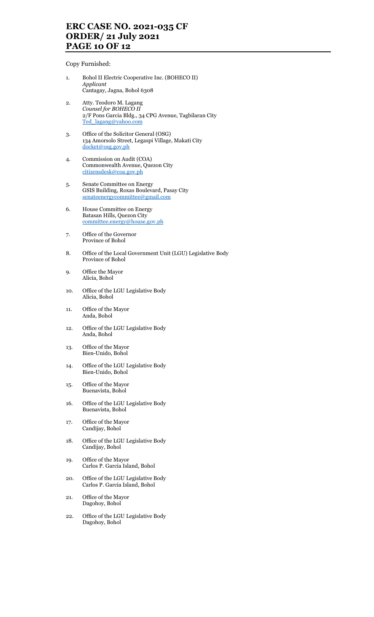## ERC CASE NO. 2021-035 CF ORDER/ 21 July 2021 PAGE 10 OF 12

Copy Furnished:

- 1. Bohol II Electric Cooperative Inc. (BOHECO II) Applicant Cantagay, Jagna, Bohol 6308
- 2. Atty. Teodoro M. Lagang Counsel for BOHECO II 2/F Pons Garcia Bldg., 34 CPG Avenue, Tagbilaran City Ted\_lagang@yahoo.com
- 3. Office of the Solicitor General (OSG) 134 Amorsolo Street, Legaspi Village, Makati City docket@osg.gov.ph
- 4. Commission on Audit (COA) Commonwealth Avenue, Quezon City citizensdesk@coa.gov.ph
- 5. Senate Committee on Energy GSIS Building, Roxas Boulevard, Pasay City senateenergycommittee@gmail.com
- 6. House Committee on Energy Batasan Hills, Quezon City committee.energy@house.gov.ph
- 7. Office of the Governor Province of Bohol
- 8. Office of the Local Government Unit (LGU) Legislative Body Province of Bohol
- 9. Office the Mayor Alicia, Bohol
- 10. Office of the LGU Legislative Body Alicia, Bohol
- 11. Office of the Mayor Anda, Bohol
- 12. Office of the LGU Legislative Body Anda, Bohol
- 13. Office of the Mayor Bien-Unido, Bohol
- 14. Office of the LGU Legislative Body Bien-Unido, Bohol
- 15. Office of the Mayor Buenavista, Bohol
- 16. Office of the LGU Legislative Body Buenavista, Bohol
- 17. Office of the Mayor Candijay, Bohol
- 18. Office of the LGU Legislative Body Candijay, Bohol
- 19. Office of the Mayor Carlos P. Garcia Island, Bohol
- 20. Office of the LGU Legislative Body Carlos P. Garcia Island, Bohol
- 21. Office of the Mayor Dagohoy, Bohol
- 22. Office of the LGU Legislative Body Dagohoy, Bohol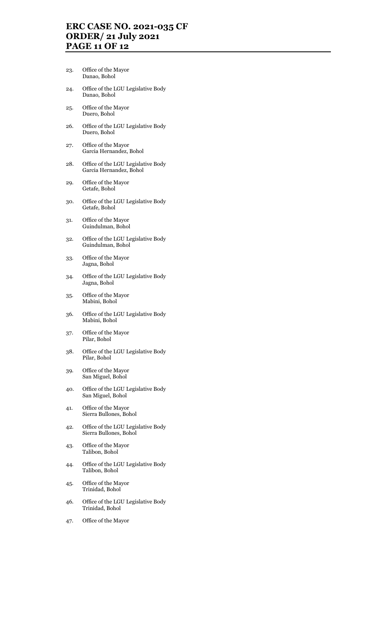## ERC CASE NO. 2021-035 CF ORDER/ 21 July 2021 PAGE 11 OF 12

- 23. Office of the Mayor Danao, Bohol
- 24. Office of the LGU Legislative Body Danao, Bohol
- 25. Office of the Mayor Duero, Bohol
- 26. Office of the LGU Legislative Body Duero, Bohol
- 27. Office of the Mayor Garcia Hernandez, Bohol
- 28. Office of the LGU Legislative Body Garcia Hernandez, Bohol
- 29. Office of the Mayor Getafe, Bohol
- 30. Office of the LGU Legislative Body Getafe, Bohol
- 31. Office of the Mayor Guindulman, Bohol
- 32. Office of the LGU Legislative Body Guindulman, Bohol
- 33. Office of the Mayor Jagna, Bohol
- 34. Office of the LGU Legislative Body Jagna, Bohol
- 35. Office of the Mayor Mabini, Bohol
- 36. Office of the LGU Legislative Body Mabini, Bohol
- 37. Office of the Mayor Pilar, Bohol
- 38. Office of the LGU Legislative Body Pilar, Bohol
- 39. Office of the Mayor San Miguel, Bohol
- 40. Office of the LGU Legislative Body San Miguel, Bohol
- 41. Office of the Mayor Sierra Bullones, Bohol
- 42. Office of the LGU Legislative Body Sierra Bullones, Bohol
- 43. Office of the Mayor Talibon, Bohol
- 44. Office of the LGU Legislative Body Talibon, Bohol
- 45. Office of the Mayor Trinidad, Bohol
- 46. Office of the LGU Legislative Body Trinidad, Bohol
- 47. Office of the Mayor